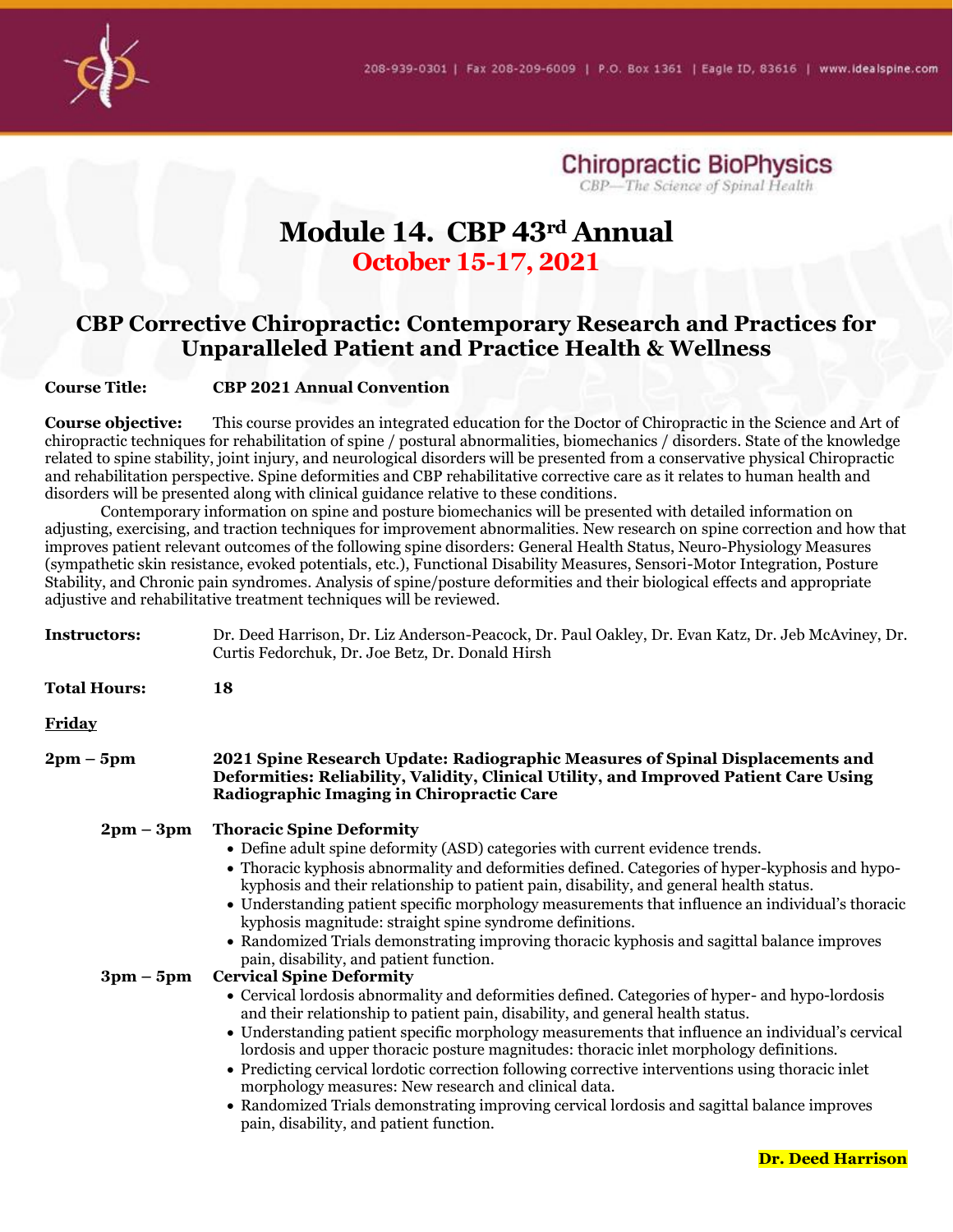

**Chiropractic BioPhysics**<br>CBP—The Science of Spinal Health

# **Module 14. CBP 43rd Annual October 15-17, 2021**

## **CBP Corrective Chiropractic: Contemporary Research and Practices for Unparalleled Patient and Practice Health & Wellness**

#### **Course Title: CBP 2021 Annual Convention**

**Course objective:** This course provides an integrated education for the Doctor of Chiropractic in the Science and Art of chiropractic techniques for rehabilitation of spine / postural abnormalities, biomechanics / disorders. State of the knowledge related to spine stability, joint injury, and neurological disorders will be presented from a conservative physical Chiropractic and rehabilitation perspective. Spine deformities and CBP rehabilitative corrective care as it relates to human health and disorders will be presented along with clinical guidance relative to these conditions.

Contemporary information on spine and posture biomechanics will be presented with detailed information on adjusting, exercising, and traction techniques for improvement abnormalities. New research on spine correction and how that improves patient relevant outcomes of the following spine disorders: General Health Status, Neuro-Physiology Measures (sympathetic skin resistance, evoked potentials, etc.), Functional Disability Measures, Sensori-Motor Integration, Posture Stability, and Chronic pain syndromes. Analysis of spine/posture deformities and their biological effects and appropriate adjustive and rehabilitative treatment techniques will be reviewed.

| Instructors:                | Dr. Deed Harrison, Dr. Liz Anderson-Peacock, Dr. Paul Oakley, Dr. Evan Katz, Dr. Jeb McAviney, Dr.<br>Curtis Fedorchuk, Dr. Joe Betz, Dr. Donald Hirsh                                                                                                                                                                                                                                                                                                                                                                                                                                                                                                                                                                    |
|-----------------------------|---------------------------------------------------------------------------------------------------------------------------------------------------------------------------------------------------------------------------------------------------------------------------------------------------------------------------------------------------------------------------------------------------------------------------------------------------------------------------------------------------------------------------------------------------------------------------------------------------------------------------------------------------------------------------------------------------------------------------|
| <b>Total Hours:</b>         | 18                                                                                                                                                                                                                                                                                                                                                                                                                                                                                                                                                                                                                                                                                                                        |
| <b>Friday</b>               |                                                                                                                                                                                                                                                                                                                                                                                                                                                                                                                                                                                                                                                                                                                           |
| $2pm-5pm$                   | 2021 Spine Research Update: Radiographic Measures of Spinal Displacements and<br>Deformities: Reliability, Validity, Clinical Utility, and Improved Patient Care Using<br>Radiographic Imaging in Chiropractic Care                                                                                                                                                                                                                                                                                                                                                                                                                                                                                                       |
| $2pm-3pm$                   | <b>Thoracic Spine Deformity</b><br>• Define adult spine deformity (ASD) categories with current evidence trends.<br>• Thoracic kyphosis abnormality and deformities defined. Categories of hyper-kyphosis and hypo-<br>kyphosis and their relationship to patient pain, disability, and general health status.<br>• Understanding patient specific morphology measurements that influence an individual's thoracic<br>kyphosis magnitude: straight spine syndrome definitions.<br>• Randomized Trials demonstrating improving thoracic kyphosis and sagittal balance improves<br>pain, disability, and patient function.                                                                                                  |
| $3 \text{pm} - 5 \text{pm}$ | <b>Cervical Spine Deformity</b><br>• Cervical lordosis abnormality and deformities defined. Categories of hyper- and hypo-lordosis<br>and their relationship to patient pain, disability, and general health status.<br>• Understanding patient specific morphology measurements that influence an individual's cervical<br>lordosis and upper thoracic posture magnitudes: thoracic inlet morphology definitions.<br>• Predicting cervical lordotic correction following corrective interventions using thoracic inlet<br>morphology measures: New research and clinical data.<br>• Randomized Trials demonstrating improving cervical lordosis and sagittal balance improves<br>pain, disability, and patient function. |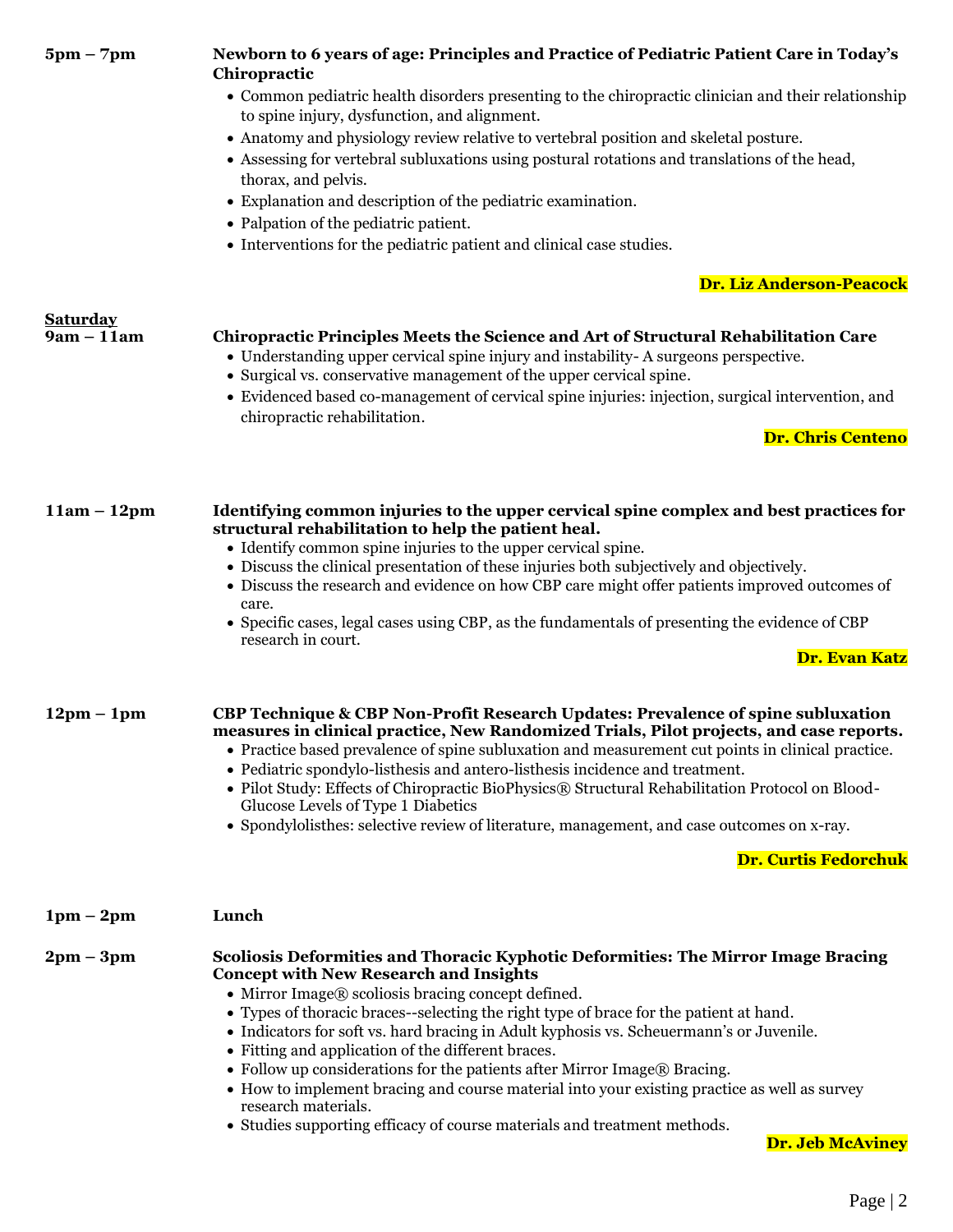| $5pm - 7pm$                     | Newborn to 6 years of age: Principles and Practice of Pediatric Patient Care in Today's<br>Chiropractic<br>• Common pediatric health disorders presenting to the chiropractic clinician and their relationship<br>to spine injury, dysfunction, and alignment.<br>• Anatomy and physiology review relative to vertebral position and skeletal posture.<br>• Assessing for vertebral subluxations using postural rotations and translations of the head,<br>thorax, and pelvis.<br>• Explanation and description of the pediatric examination.<br>• Palpation of the pediatric patient.                                                                                                                                                        |
|---------------------------------|-----------------------------------------------------------------------------------------------------------------------------------------------------------------------------------------------------------------------------------------------------------------------------------------------------------------------------------------------------------------------------------------------------------------------------------------------------------------------------------------------------------------------------------------------------------------------------------------------------------------------------------------------------------------------------------------------------------------------------------------------|
|                                 | • Interventions for the pediatric patient and clinical case studies.                                                                                                                                                                                                                                                                                                                                                                                                                                                                                                                                                                                                                                                                          |
|                                 | Dr. Liz Anderson-Peacock                                                                                                                                                                                                                                                                                                                                                                                                                                                                                                                                                                                                                                                                                                                      |
| <b>Saturday</b><br>$9am - 11am$ | <b>Chiropractic Principles Meets the Science and Art of Structural Rehabilitation Care</b><br>• Understanding upper cervical spine injury and instability-A surgeons perspective.<br>• Surgical vs. conservative management of the upper cervical spine.<br>• Evidenced based co-management of cervical spine injuries: injection, surgical intervention, and<br>chiropractic rehabilitation.<br>Dr. Chris Centeno                                                                                                                                                                                                                                                                                                                            |
| $11am - 12pm$                   | Identifying common injuries to the upper cervical spine complex and best practices for<br>structural rehabilitation to help the patient heal.<br>• Identify common spine injuries to the upper cervical spine.<br>• Discuss the clinical presentation of these injuries both subjectively and objectively.<br>• Discuss the research and evidence on how CBP care might offer patients improved outcomes of                                                                                                                                                                                                                                                                                                                                   |
|                                 | care.<br>• Specific cases, legal cases using CBP, as the fundamentals of presenting the evidence of CBP<br>research in court.<br>Dr. Evan Katz                                                                                                                                                                                                                                                                                                                                                                                                                                                                                                                                                                                                |
| $12pm - 1pm$                    | CBP Technique & CBP Non-Profit Research Updates: Prevalence of spine subluxation<br>measures in clinical practice, New Randomized Trials, Pilot projects, and case reports.<br>• Practice based prevalence of spine subluxation and measurement cut points in clinical practice.<br>• Pediatric spondylo-listhesis and antero-listhesis incidence and treatment.<br>• Pilot Study: Effects of Chiropractic BioPhysics® Structural Rehabilitation Protocol on Blood-<br>Glucose Levels of Type 1 Diabetics<br>• Spondylolisthes: selective review of literature, management, and case outcomes on x-ray.                                                                                                                                       |
|                                 | <b>Dr. Curtis Fedorchuk</b>                                                                                                                                                                                                                                                                                                                                                                                                                                                                                                                                                                                                                                                                                                                   |
| $1pm-2pm$                       | Lunch                                                                                                                                                                                                                                                                                                                                                                                                                                                                                                                                                                                                                                                                                                                                         |
| $2pm-3pm$                       | Scoliosis Deformities and Thoracic Kyphotic Deformities: The Mirror Image Bracing<br><b>Concept with New Research and Insights</b><br>• Mirror Image® scoliosis bracing concept defined.<br>• Types of thoracic braces--selecting the right type of brace for the patient at hand.<br>• Indicators for soft vs. hard bracing in Adult kyphosis vs. Scheuermann's or Juvenile.<br>• Fitting and application of the different braces.<br>• Follow up considerations for the patients after Mirror Image® Bracing.<br>• How to implement bracing and course material into your existing practice as well as survey<br>research materials.<br>• Studies supporting efficacy of course materials and treatment methods.<br><b>Dr. Jeb McAviney</b> |